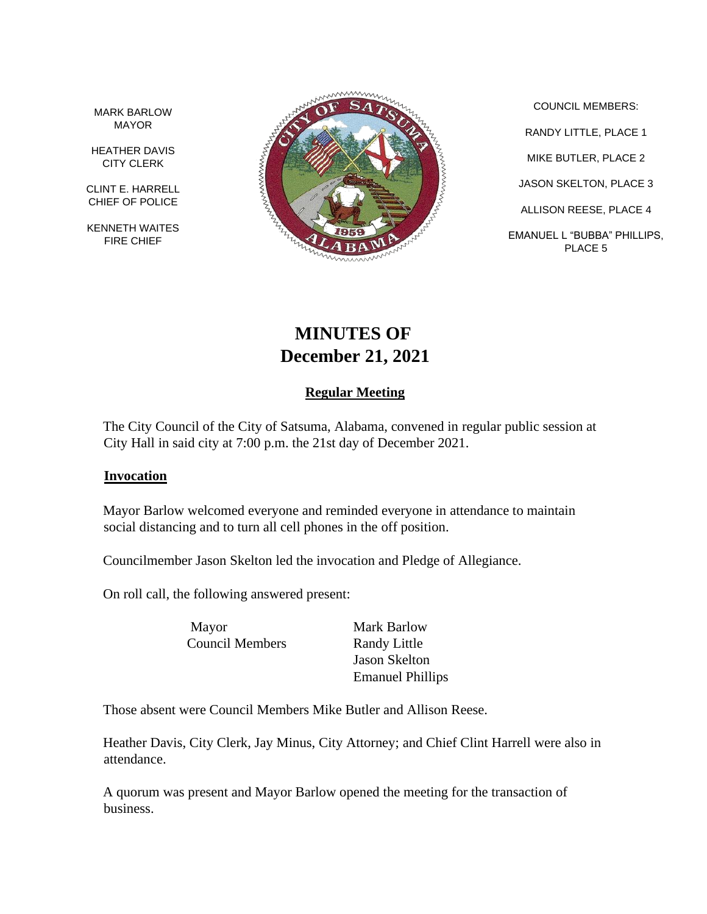MARK BARLOW MAYOR

HEATHER DAVIS CITY CLERK

CLINT E. HARRELL CHIEF OF POLICE

KENNETH WAITES FIRE CHIEF



COUNCIL MEMBERS: RANDY LITTLE, PLACE 1 MIKE BUTLER, PLACE 2 JASON SKELTON, PLACE 3 ALLISON REESE, PLACE 4 EMANUEL L "BUBBA" PHILLIPS, PLACE 5

# **MINUTES OF December 21, 2021**

## **Regular Meeting**

The City Council of the City of Satsuma, Alabama, convened in regular public session at City Hall in said city at 7:00 p.m. the 21st day of December 2021.

#### **Invocation**

Mayor Barlow welcomed everyone and reminded everyone in attendance to maintain social distancing and to turn all cell phones in the off position.

Councilmember Jason Skelton led the invocation and Pledge of Allegiance.

On roll call, the following answered present:

Mayor Mark Barlow Council Members Randy Little

Jason Skelton Emanuel Phillips

Those absent were Council Members Mike Butler and Allison Reese.

Heather Davis, City Clerk, Jay Minus, City Attorney; and Chief Clint Harrell were also in attendance.

A quorum was present and Mayor Barlow opened the meeting for the transaction of business.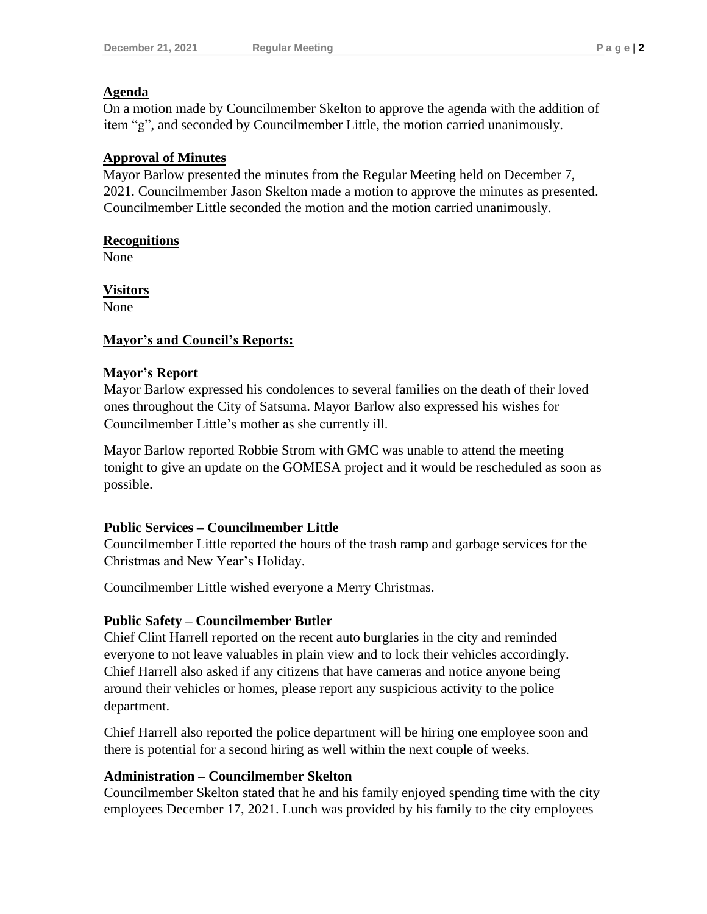#### **Agenda**

On a motion made by Councilmember Skelton to approve the agenda with the addition of item "g", and seconded by Councilmember Little, the motion carried unanimously.

## **Approval of Minutes**

Mayor Barlow presented the minutes from the Regular Meeting held on December 7, 2021. Councilmember Jason Skelton made a motion to approve the minutes as presented. Councilmember Little seconded the motion and the motion carried unanimously.

#### **Recognitions**

None

**Visitors**

None

#### **Mayor's and Council's Reports:**

#### **Mayor's Report**

Mayor Barlow expressed his condolences to several families on the death of their loved ones throughout the City of Satsuma. Mayor Barlow also expressed his wishes for Councilmember Little's mother as she currently ill.

Mayor Barlow reported Robbie Strom with GMC was unable to attend the meeting tonight to give an update on the GOMESA project and it would be rescheduled as soon as possible.

## **Public Services – Councilmember Little**

Councilmember Little reported the hours of the trash ramp and garbage services for the Christmas and New Year's Holiday.

Councilmember Little wished everyone a Merry Christmas.

## **Public Safety – Councilmember Butler**

Chief Clint Harrell reported on the recent auto burglaries in the city and reminded everyone to not leave valuables in plain view and to lock their vehicles accordingly. Chief Harrell also asked if any citizens that have cameras and notice anyone being around their vehicles or homes, please report any suspicious activity to the police department.

Chief Harrell also reported the police department will be hiring one employee soon and there is potential for a second hiring as well within the next couple of weeks.

## **Administration – Councilmember Skelton**

Councilmember Skelton stated that he and his family enjoyed spending time with the city employees December 17, 2021. Lunch was provided by his family to the city employees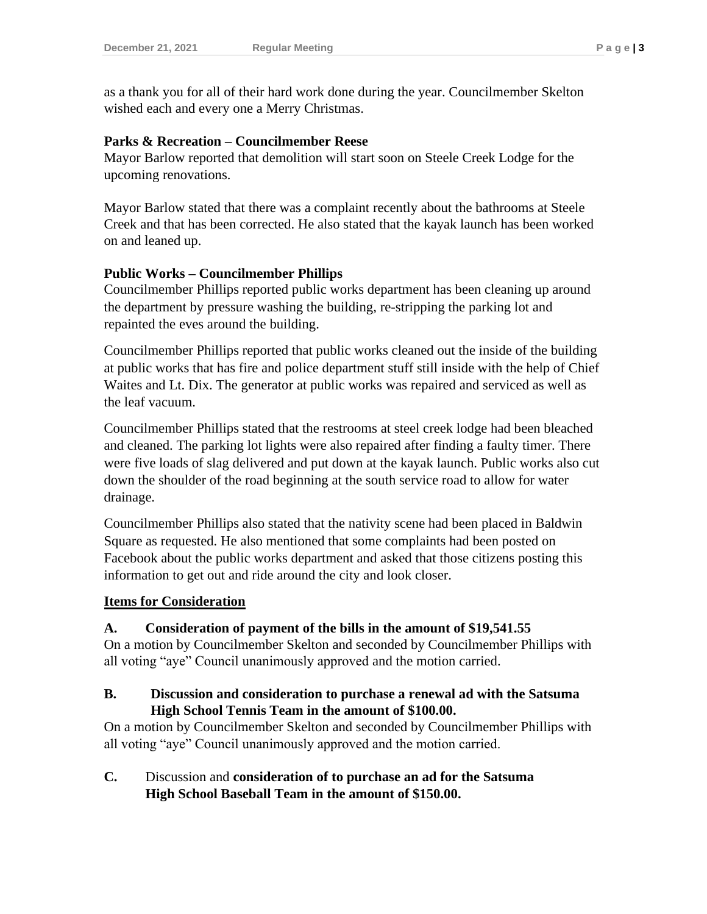as a thank you for all of their hard work done during the year. Councilmember Skelton wished each and every one a Merry Christmas.

#### **Parks & Recreation – Councilmember Reese**

Mayor Barlow reported that demolition will start soon on Steele Creek Lodge for the upcoming renovations.

Mayor Barlow stated that there was a complaint recently about the bathrooms at Steele Creek and that has been corrected. He also stated that the kayak launch has been worked on and leaned up.

#### **Public Works – Councilmember Phillips**

Councilmember Phillips reported public works department has been cleaning up around the department by pressure washing the building, re-stripping the parking lot and repainted the eves around the building.

Councilmember Phillips reported that public works cleaned out the inside of the building at public works that has fire and police department stuff still inside with the help of Chief Waites and Lt. Dix. The generator at public works was repaired and serviced as well as the leaf vacuum.

Councilmember Phillips stated that the restrooms at steel creek lodge had been bleached and cleaned. The parking lot lights were also repaired after finding a faulty timer. There were five loads of slag delivered and put down at the kayak launch. Public works also cut down the shoulder of the road beginning at the south service road to allow for water drainage.

Councilmember Phillips also stated that the nativity scene had been placed in Baldwin Square as requested. He also mentioned that some complaints had been posted on Facebook about the public works department and asked that those citizens posting this information to get out and ride around the city and look closer.

#### **Items for Consideration**

#### **A. Consideration of payment of the bills in the amount of \$19,541.55**

On a motion by Councilmember Skelton and seconded by Councilmember Phillips with all voting "aye" Council unanimously approved and the motion carried.

#### **B. Discussion and consideration to purchase a renewal ad with the Satsuma High School Tennis Team in the amount of \$100.00.**

On a motion by Councilmember Skelton and seconded by Councilmember Phillips with all voting "aye" Council unanimously approved and the motion carried.

## **C.** Discussion and **consideration of to purchase an ad for the Satsuma High School Baseball Team in the amount of \$150.00.**